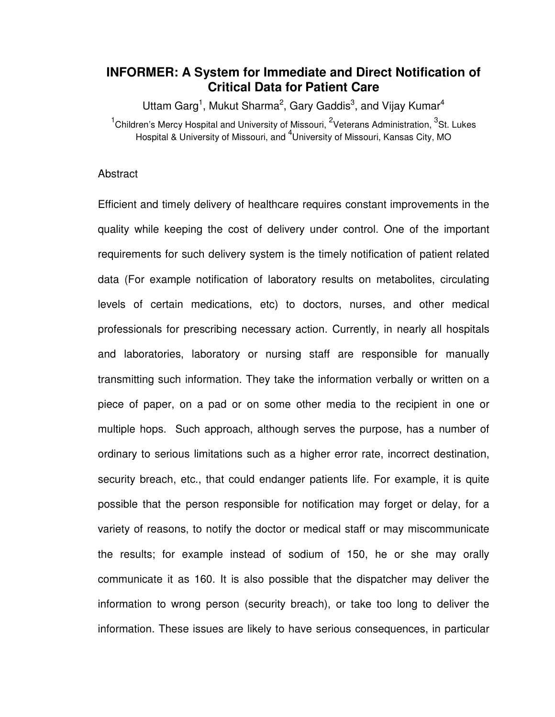## **INFORMER: A System for Immediate and Direct Notification of Critical Data for Patient Care**

Uttam Garg<sup>1</sup>, Mukut Sharma<sup>2</sup>, Gary Gaddis<sup>3</sup>, and Vijay Kumar<sup>4</sup> <sup>1</sup>Children's Mercy Hospital and University of Missouri, <sup>2</sup>Veterans Administration, <sup>3</sup>St. Lukes Hospital & University of Missouri, and <sup>4</sup>University of Missouri, Kansas City, MO

## Abstract

Efficient and timely delivery of healthcare requires constant improvements in the quality while keeping the cost of delivery under control. One of the important requirements for such delivery system is the timely notification of patient related data (For example notification of laboratory results on metabolites, circulating levels of certain medications, etc) to doctors, nurses, and other medical professionals for prescribing necessary action. Currently, in nearly all hospitals and laboratories, laboratory or nursing staff are responsible for manually transmitting such information. They take the information verbally or written on a piece of paper, on a pad or on some other media to the recipient in one or multiple hops. Such approach, although serves the purpose, has a number of ordinary to serious limitations such as a higher error rate, incorrect destination, security breach, etc., that could endanger patients life. For example, it is quite possible that the person responsible for notification may forget or delay, for a variety of reasons, to notify the doctor or medical staff or may miscommunicate the results; for example instead of sodium of 150, he or she may orally communicate it as 160. It is also possible that the dispatcher may deliver the information to wrong person (security breach), or take too long to deliver the information. These issues are likely to have serious consequences, in particular